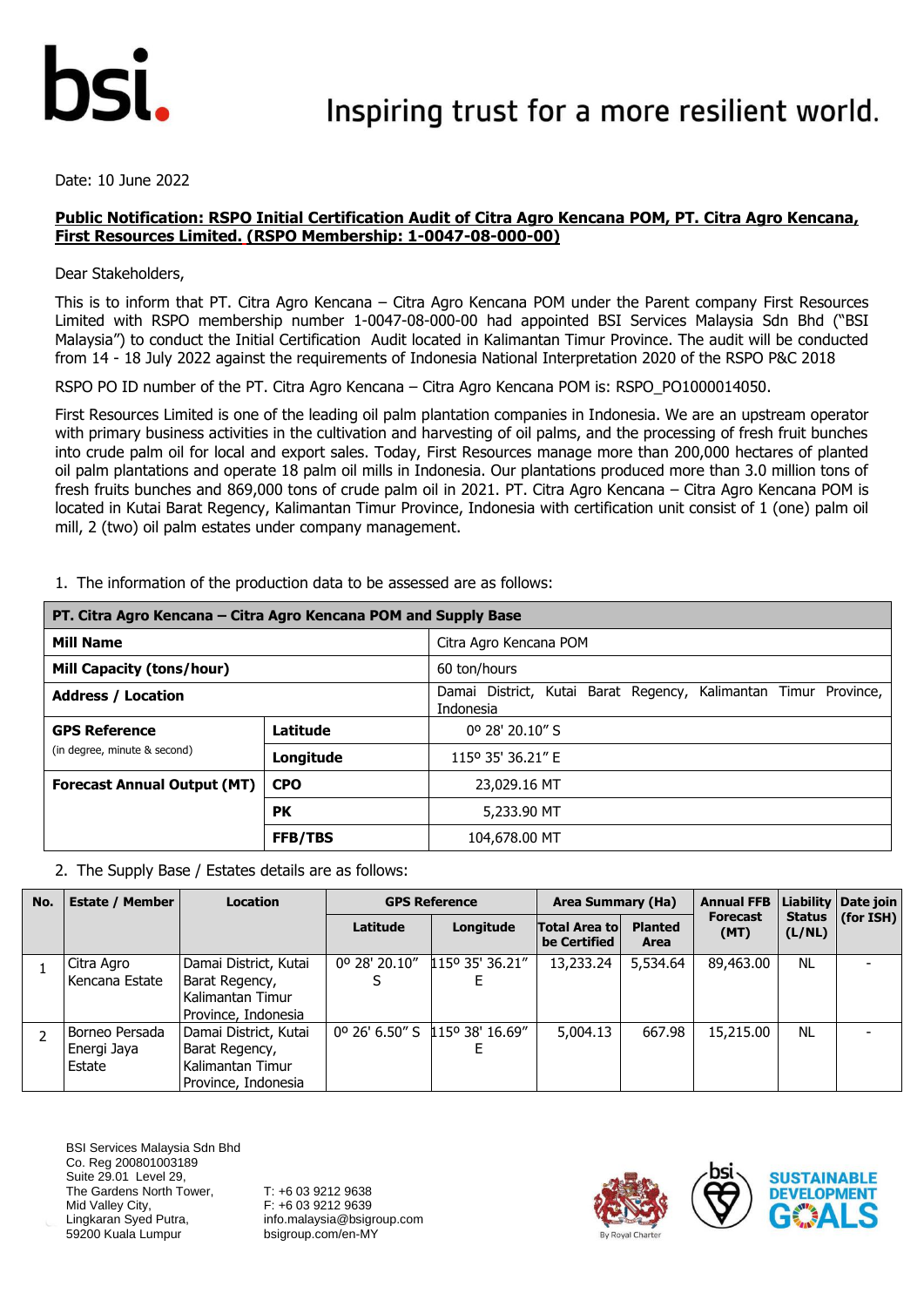

Date: 10 June 2022

#### **Public Notification: RSPO Initial Certification Audit of Citra Agro Kencana POM, PT. Citra Agro Kencana, First Resources Limited. (RSPO Membership: 1-0047-08-000-00)**

Dear Stakeholders,

This is to inform that PT. Citra Agro Kencana – Citra Agro Kencana POM under the Parent company First Resources Limited with RSPO membership number 1-0047-08-000-00 had appointed BSI Services Malaysia Sdn Bhd ("BSI Malaysia") to conduct the Initial Certification Audit located in Kalimantan Timur Province. The audit will be conducted from 14 - 18 July 2022 against the requirements of Indonesia National Interpretation 2020 of the RSPO P&C 2018

RSPO PO ID number of the PT. Citra Agro Kencana – Citra Agro Kencana POM is: RSPO\_PO1000014050.

First Resources Limited is one of the leading oil palm plantation companies in Indonesia. We are an upstream operator with primary business activities in the cultivation and harvesting of oil palms, and the processing of fresh fruit bunches into crude palm oil for local and export sales. Today, First Resources manage more than 200,000 hectares of planted oil palm plantations and operate 18 palm oil mills in Indonesia. Our plantations produced more than 3.0 million tons of fresh fruits bunches and 869,000 tons of crude palm oil in 2021. PT. Citra Agro Kencana – Citra Agro Kencana POM is located in Kutai Barat Regency, Kalimantan Timur Province, Indonesia with certification unit consist of 1 (one) palm oil mill, 2 (two) oil palm estates under company management.

| PT. Citra Agro Kencana – Citra Agro Kencana POM and Supply Base |                |                                                                                 |  |  |  |  |  |  |
|-----------------------------------------------------------------|----------------|---------------------------------------------------------------------------------|--|--|--|--|--|--|
| <b>Mill Name</b>                                                |                | Citra Agro Kencana POM                                                          |  |  |  |  |  |  |
| <b>Mill Capacity (tons/hour)</b>                                |                | 60 ton/hours                                                                    |  |  |  |  |  |  |
| <b>Address / Location</b>                                       |                | Damai District, Kutai Barat Regency,<br>Kalimantan Timur Province,<br>Indonesia |  |  |  |  |  |  |
| <b>GPS Reference</b>                                            | Latitude       | 0° 28' 20.10" S                                                                 |  |  |  |  |  |  |
| (in degree, minute & second)                                    | Longitude      | 115° 35' 36.21" E                                                               |  |  |  |  |  |  |
| <b>Forecast Annual Output (MT)</b><br><b>CPO</b>                |                | 23,029.16 MT                                                                    |  |  |  |  |  |  |
|                                                                 | <b>PK</b>      | 5,233,90 MT                                                                     |  |  |  |  |  |  |
|                                                                 | <b>FFB/TBS</b> | 104,678.00 MT                                                                   |  |  |  |  |  |  |

1. The information of the production data to be assessed are as follows:

2. The Supply Base / Estates details are as follows:

| No. | <b>Estate / Member</b>                  | <b>Location</b>                                                                    | <b>GPS Reference</b> |                          | Area Summary (Ha)                     |                        | <b>Annual FFB</b>       |                         | Liability   Date join |
|-----|-----------------------------------------|------------------------------------------------------------------------------------|----------------------|--------------------------|---------------------------------------|------------------------|-------------------------|-------------------------|-----------------------|
|     |                                         |                                                                                    | Latitude             | Longitude                | <b>Total Area tol</b><br>be Certified | <b>Planted</b><br>Area | <b>Forecast</b><br>(MT) | <b>Status</b><br>(L/NL) | (for ISH)             |
|     | Citra Agro<br>Kencana Estate            | Damai District, Kutai<br>Barat Regency,<br>Kalimantan Timur<br>Province, Indonesia | 0º 28' 20.10"        | $115^{\circ}$ 35' 36.21" | 13,233.24                             | 5,534.64               | 89,463.00               | <b>NL</b>               |                       |
|     | Borneo Persada<br>Energi Jaya<br>Estate | Damai District, Kutai<br>Barat Regency,<br>Kalimantan Timur<br>Province, Indonesia | 0° 26' 6.50" S       | 115° 38' 16.69"          | 5,004.13                              | 667.98                 | 15,215.00               | <b>NL</b>               |                       |

BSI Services Malaysia Sdn Bhd Co. Reg 200801003189 Suite 29.01 Level 29, The Gardens North Tower, Mid Valley City, Lingkaran Syed Putra, 59200 Kuala Lumpur

T: +6 03 9212 9638 F: +6 03 9212 9639 info.malaysia@bsigroup.com bsigroup.com/en-MY



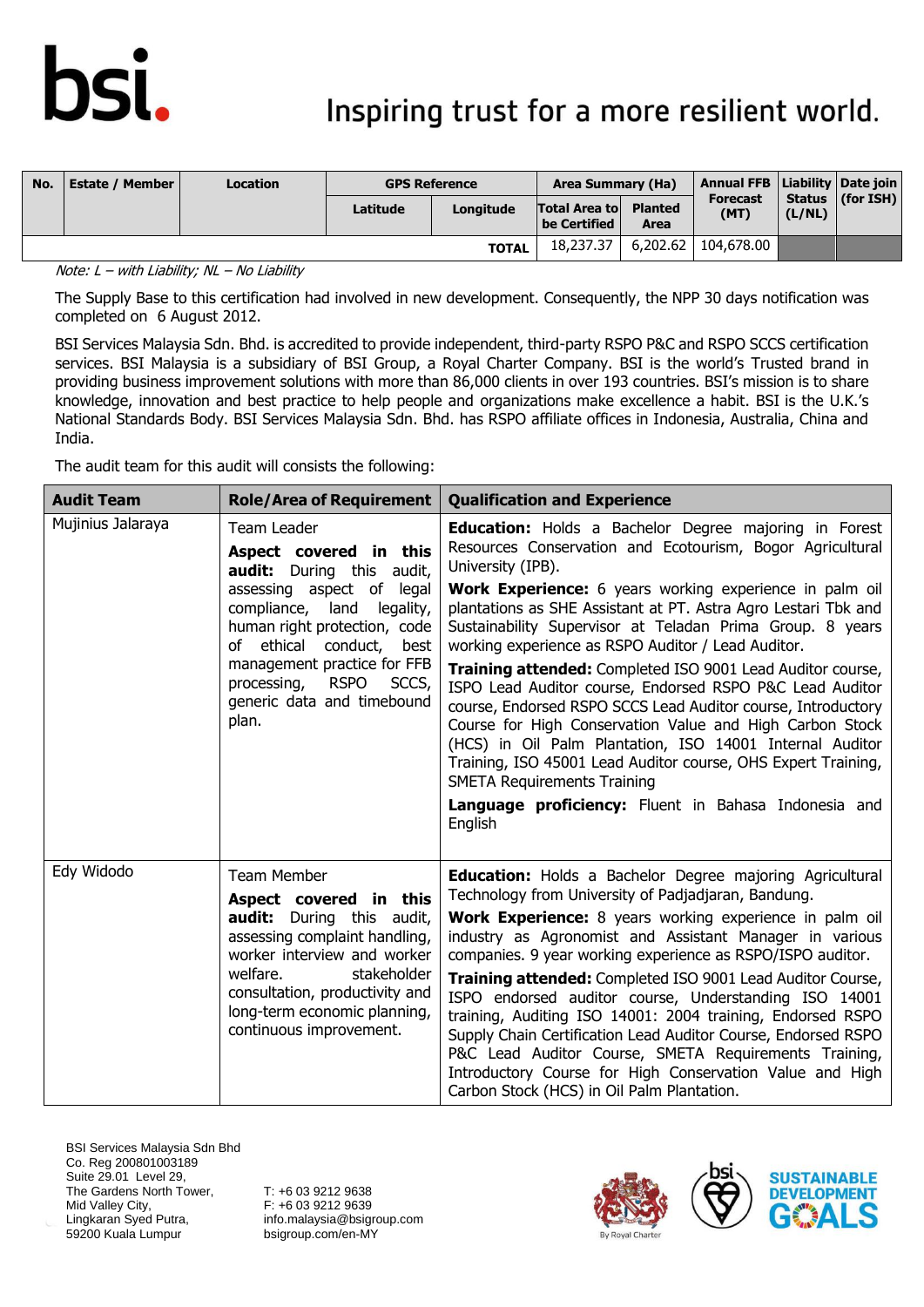## Inspiring trust for a more resilient world.

| No. | <b>Estate / Member</b> | <b>Location</b> | <b>GPS Reference</b> |              | Area Summary (Ha)                            |      | Annual FFB   Liability   Date join |        |                      |
|-----|------------------------|-----------------|----------------------|--------------|----------------------------------------------|------|------------------------------------|--------|----------------------|
|     |                        |                 | Latitude             | Longitude    | <b>Total Area to Planted</b><br>be Certified | Area | <b>Forecast</b><br>(MT)            | (L/NL) | Status $ $ (for ISH) |
|     |                        |                 |                      | <b>TOTAL</b> | 18,237.37                                    |      | 6,202.62   104,678.00              |        |                      |

Note:  $L - with$  Liability;  $NL - No$  Liability

The Supply Base to this certification had involved in new development. Consequently, the NPP 30 days notification was completed on 6 August 2012.

BSI Services Malaysia Sdn. Bhd. is accredited to provide independent, third-party RSPO P&C and RSPO SCCS certification services. BSI Malaysia is a subsidiary of BSI Group, a Royal Charter Company. BSI is the world's Trusted brand in providing business improvement solutions with more than 86,000 clients in over 193 countries. BSI's mission is to share knowledge, innovation and best practice to help people and organizations make excellence a habit. BSI is the U.K.'s National Standards Body. BSI Services Malaysia Sdn. Bhd. has RSPO affiliate offices in Indonesia, Australia, China and India.

The audit team for this audit will consists the following:

| <b>Audit Team</b> | <b>Role/Area of Requirement</b>                                                                                                                                                                                                                                                                              | <b>Qualification and Experience</b>                                                                                                                                                                                                                                                                                                                                                                                                                                                                                                                                                                                                                                                                                                                                                                                                                                                               |
|-------------------|--------------------------------------------------------------------------------------------------------------------------------------------------------------------------------------------------------------------------------------------------------------------------------------------------------------|---------------------------------------------------------------------------------------------------------------------------------------------------------------------------------------------------------------------------------------------------------------------------------------------------------------------------------------------------------------------------------------------------------------------------------------------------------------------------------------------------------------------------------------------------------------------------------------------------------------------------------------------------------------------------------------------------------------------------------------------------------------------------------------------------------------------------------------------------------------------------------------------------|
| Mujinius Jalaraya | Team Leader<br>Aspect covered in this<br><b>audit:</b> During this<br>audit,<br>assessing aspect of legal<br>compliance, land<br>legality,<br>human right protection, code<br>of ethical conduct,<br>best<br>management practice for FFB<br>processing, RSPO<br>SCCS,<br>generic data and timebound<br>plan. | <b>Education:</b> Holds a Bachelor Degree majoring in Forest<br>Resources Conservation and Ecotourism, Bogor Agricultural<br>University (IPB).<br><b>Work Experience:</b> 6 years working experience in palm oil<br>plantations as SHE Assistant at PT. Astra Agro Lestari Tbk and<br>Sustainability Supervisor at Teladan Prima Group. 8 years<br>working experience as RSPO Auditor / Lead Auditor.<br>Training attended: Completed ISO 9001 Lead Auditor course,<br>ISPO Lead Auditor course, Endorsed RSPO P&C Lead Auditor<br>course, Endorsed RSPO SCCS Lead Auditor course, Introductory<br>Course for High Conservation Value and High Carbon Stock<br>(HCS) in Oil Palm Plantation, ISO 14001 Internal Auditor<br>Training, ISO 45001 Lead Auditor course, OHS Expert Training,<br><b>SMETA Requirements Training</b><br>Language proficiency: Fluent in Bahasa Indonesia and<br>English |
| Edy Widodo        | <b>Team Member</b><br>Aspect covered in this<br><b>audit:</b> During this audit,<br>assessing complaint handling,<br>worker interview and worker<br>welfare.<br>stakeholder<br>consultation, productivity and<br>long-term economic planning,<br>continuous improvement.                                     | <b>Education:</b> Holds a Bachelor Degree majoring Agricultural<br>Technology from University of Padjadjaran, Bandung.<br>Work Experience: 8 years working experience in palm oil<br>industry as Agronomist and Assistant Manager in various<br>companies. 9 year working experience as RSPO/ISPO auditor.<br>Training attended: Completed ISO 9001 Lead Auditor Course,<br>ISPO endorsed auditor course, Understanding ISO 14001<br>training, Auditing ISO 14001: 2004 training, Endorsed RSPO<br>Supply Chain Certification Lead Auditor Course, Endorsed RSPO<br>P&C Lead Auditor Course, SMETA Requirements Training,<br>Introductory Course for High Conservation Value and High<br>Carbon Stock (HCS) in Oil Palm Plantation.                                                                                                                                                               |

BSI Services Malaysia Sdn Bhd Co. Reg 200801003189 Suite 29.01 Level 29, The Gardens North Tower, Mid Valley City, Lingkaran Syed Putra, 59200 Kuala Lumpur

T: +6 03 9212 9638 F: +6 03 9212 9639 info.malaysia@bsigroup.com bsigroup.com/en-MY



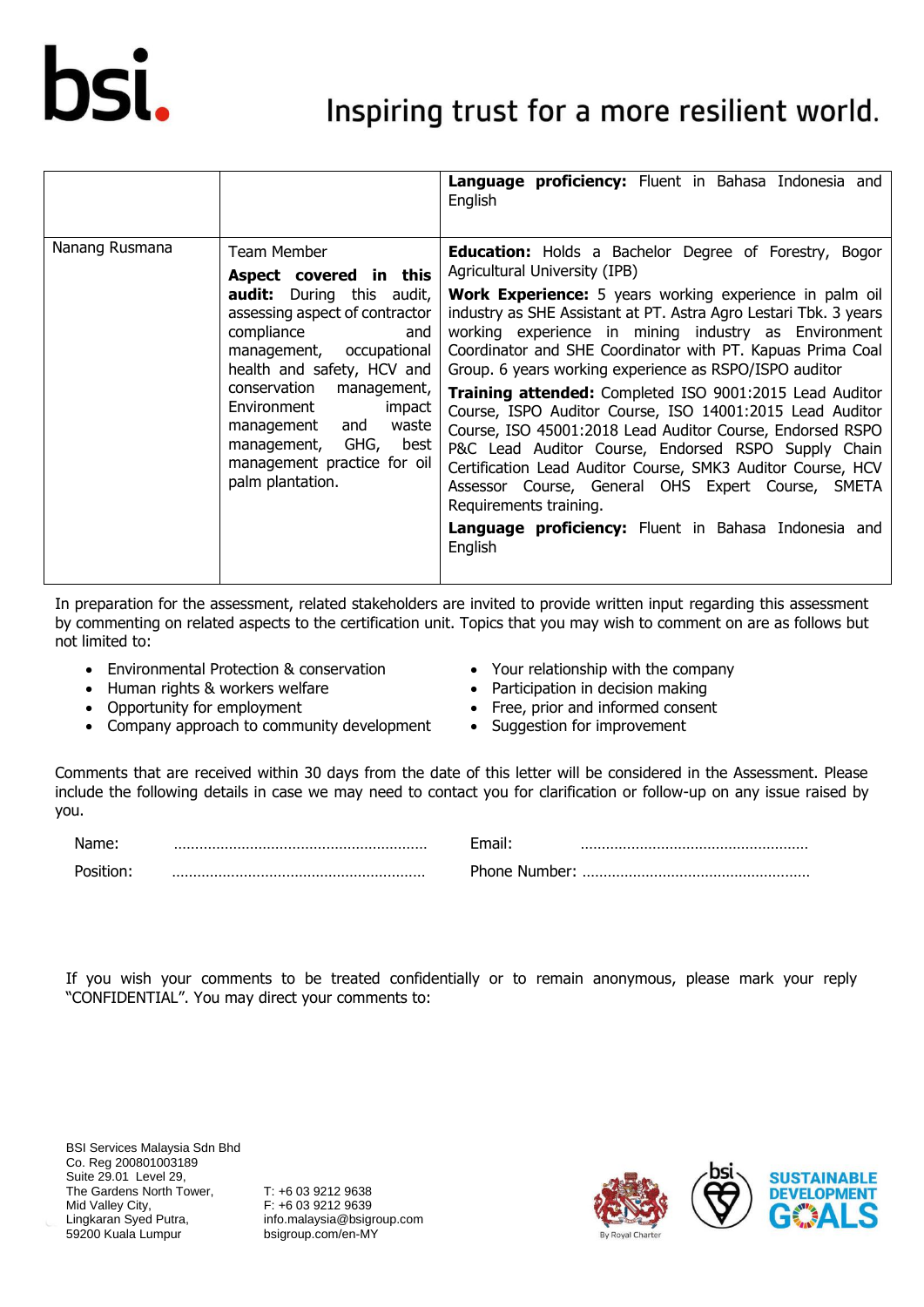

### Inspiring trust for a more resilient world.

|                |                                                                                                                                                                                                                                                                                                                                                                    | Language proficiency: Fluent in Bahasa Indonesia and<br>English                                                                                                                                                                                                                                                                                                                                                                                                                                                                                                                                                                                                                                                                                                                                                                                                                           |
|----------------|--------------------------------------------------------------------------------------------------------------------------------------------------------------------------------------------------------------------------------------------------------------------------------------------------------------------------------------------------------------------|-------------------------------------------------------------------------------------------------------------------------------------------------------------------------------------------------------------------------------------------------------------------------------------------------------------------------------------------------------------------------------------------------------------------------------------------------------------------------------------------------------------------------------------------------------------------------------------------------------------------------------------------------------------------------------------------------------------------------------------------------------------------------------------------------------------------------------------------------------------------------------------------|
| Nanang Rusmana | Team Member<br>Aspect covered in this<br><b>audit:</b> During this audit,<br>assessing aspect of contractor<br>compliance<br>and<br>management, occupational<br>health and safety, HCV and<br>conservation<br>management,<br>Environment<br>impact<br>waste<br>management<br>and<br>GHG,<br>management,<br>best<br>management practice for oil<br>palm plantation. | <b>Education:</b> Holds a Bachelor Degree of Forestry,<br>Bogor<br>Agricultural University (IPB)<br><b>Work Experience:</b> 5 years working experience in palm oil<br>industry as SHE Assistant at PT. Astra Agro Lestari Tbk. 3 years<br>working experience in mining industry as Environment<br>Coordinator and SHE Coordinator with PT. Kapuas Prima Coal<br>Group. 6 years working experience as RSPO/ISPO auditor<br>Training attended: Completed ISO 9001:2015 Lead Auditor<br>Course, ISPO Auditor Course, ISO 14001:2015 Lead Auditor<br>Course, ISO 45001:2018 Lead Auditor Course, Endorsed RSPO<br>P&C Lead Auditor Course, Endorsed RSPO Supply Chain<br>Certification Lead Auditor Course, SMK3 Auditor Course, HCV<br>Assessor Course, General OHS Expert Course, SMETA<br>Requirements training.<br><b>Language proficiency:</b> Fluent in Bahasa Indonesia and<br>English |

In preparation for the assessment, related stakeholders are invited to provide written input regarding this assessment by commenting on related aspects to the certification unit. Topics that you may wish to comment on are as follows but not limited to:

- Environmental Protection & conservation
- Human rights & workers welfare
- Opportunity for employment
- Company approach to community development
- Your relationship with the company
- Participation in decision making
- Free, prior and informed consent
- Suggestion for improvement

Comments that are received within 30 days from the date of this letter will be considered in the Assessment. Please include the following details in case we may need to contact you for clarification or follow-up on any issue raised by you.

| Name: | m             |   |
|-------|---------------|---|
|       | Phone Number: | . |

If you wish your comments to be treated confidentially or to remain anonymous, please mark your reply "CONFIDENTIAL". You may direct your comments to:

BSI Services Malaysia Sdn Bhd Co. Reg 200801003189 Suite 29.01 Level 29, The Gardens North Tower, Mid Valley City, Lingkaran Syed Putra, 59200 Kuala Lumpur

T: +6 03 9212 9638 F: +6 03 9212 9639 info.malaysia@bsigroup.com bsigroup.com/en-MY



Name: …………………………………………………… Email: ……………………………………………… Position: …………………………………………………… Phone Number: ………………………………………………